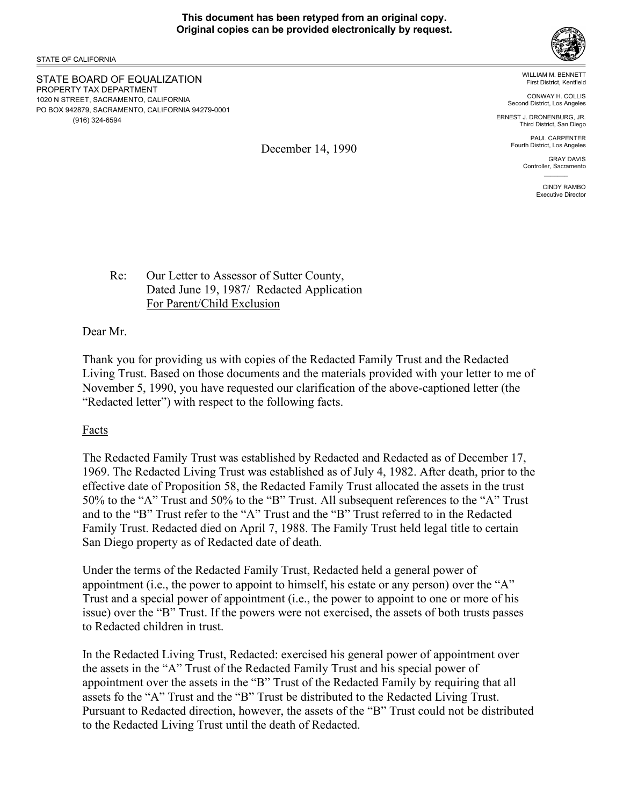December 14, 1990

STATE OF CALIFORNIA

STATE BOARD OF EQUALIZATION PROPERTY TAX DEPARTMENT 1020 N STREET, SACRAMENTO, CALIFORNIA PO BOX 942879, SACRAMENTO, CALIFORNIA 94279-0001 (916) 324-6594



WILLIAM M. BENNETT First District, Kentfield

CONWAY H. COLLIS Second District, Los Angeles

ERNEST J. DRONENBURG, JR. Third District, San Diego

> PAUL CARPENTER Fourth District, Los Angeles

> > GRAY DAVIS Controller, Sacramento  $\mathcal{L}=\mathcal{L}$

> > > CINDY RAMBO Executive Director

Re: Our Letter to Assessor of Sutter County, Dated June 19, 1987/ Redacted Application For Parent/Child Exclusion

Dear Mr.

Thank you for providing us with copies of the Redacted Family Trust and the Redacted Living Trust. Based on those documents and the materials provided with your letter to me of November 5, 1990, you have requested our clarification of the above-captioned letter (the "Redacted letter") with respect to the following facts.

Facts

The Redacted Family Trust was established by Redacted and Redacted as of December 17, 1969. The Redacted Living Trust was established as of July 4, 1982. After death, prior to the effective date of Proposition 58, the Redacted Family Trust allocated the assets in the trust 50% to the "A" Trust and 50% to the "B" Trust. All subsequent references to the "A" Trust and to the "B" Trust refer to the "A" Trust and the "B" Trust referred to in the Redacted Family Trust. Redacted died on April 7, 1988. The Family Trust held legal title to certain San Diego property as of Redacted date of death.

Under the terms of the Redacted Family Trust, Redacted held a general power of appointment (i.e., the power to appoint to himself, his estate or any person) over the "A" Trust and a special power of appointment (i.e., the power to appoint to one or more of his issue) over the "B" Trust. If the powers were not exercised, the assets of both trusts passes to Redacted children in trust.

In the Redacted Living Trust, Redacted: exercised his general power of appointment over the assets in the "A" Trust of the Redacted Family Trust and his special power of appointment over the assets in the "B" Trust of the Redacted Family by requiring that all assets fo the "A" Trust and the "B" Trust be distributed to the Redacted Living Trust. Pursuant to Redacted direction, however, the assets of the "B" Trust could not be distributed to the Redacted Living Trust until the death of Redacted.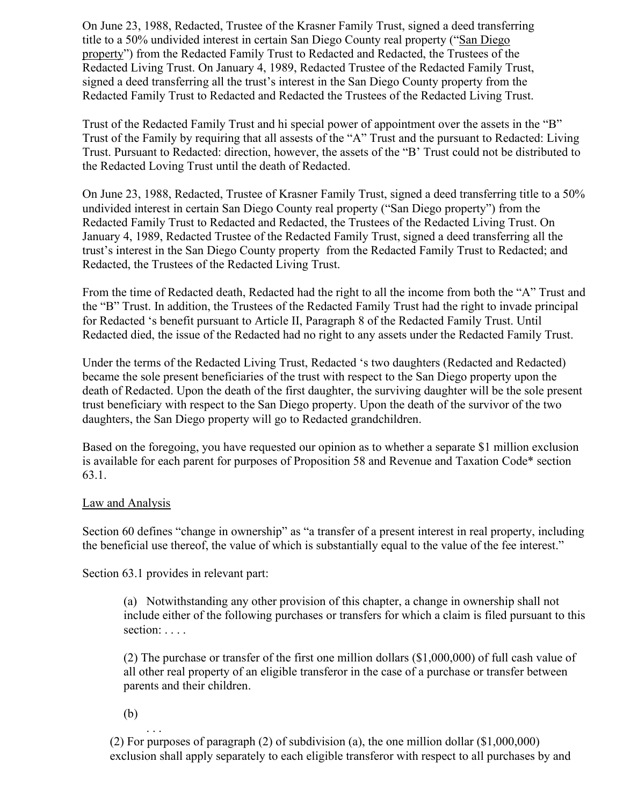On June 23, 1988, Redacted, Trustee of the Krasner Family Trust, signed a deed transferring title to a 50% undivided interest in certain San Diego County real property ("San Diego property") from the Redacted Family Trust to Redacted and Redacted, the Trustees of the Redacted Living Trust. On January 4, 1989, Redacted Trustee of the Redacted Family Trust, signed a deed transferring all the trust's interest in the San Diego County property from the Redacted Family Trust to Redacted and Redacted the Trustees of the Redacted Living Trust.

Trust of the Redacted Family Trust and hi special power of appointment over the assets in the "B" Trust of the Family by requiring that all assests of the "A" Trust and the pursuant to Redacted: Living Trust. Pursuant to Redacted: direction, however, the assets of the "B' Trust could not be distributed to the Redacted Loving Trust until the death of Redacted.

On June 23, 1988, Redacted, Trustee of Krasner Family Trust, signed a deed transferring title to a 50% undivided interest in certain San Diego County real property ("San Diego property") from the Redacted Family Trust to Redacted and Redacted, the Trustees of the Redacted Living Trust. On January 4, 1989, Redacted Trustee of the Redacted Family Trust, signed a deed transferring all the trust's interest in the San Diego County property from the Redacted Family Trust to Redacted; and Redacted, the Trustees of the Redacted Living Trust.

From the time of Redacted death, Redacted had the right to all the income from both the "A" Trust and the "B" Trust. In addition, the Trustees of the Redacted Family Trust had the right to invade principal for Redacted 's benefit pursuant to Article II, Paragraph 8 of the Redacted Family Trust. Until Redacted died, the issue of the Redacted had no right to any assets under the Redacted Family Trust.

Under the terms of the Redacted Living Trust, Redacted 's two daughters (Redacted and Redacted) became the sole present beneficiaries of the trust with respect to the San Diego property upon the death of Redacted. Upon the death of the first daughter, the surviving daughter will be the sole present trust beneficiary with respect to the San Diego property. Upon the death of the survivor of the two daughters, the San Diego property will go to Redacted grandchildren.

Based on the foregoing, you have requested our opinion as to whether a separate \$1 million exclusion is available for each parent for purposes of Proposition 58 and Revenue and Taxation Code\* section 63.1.

## Law and Analysis

Section 60 defines "change in ownership" as "a transfer of a present interest in real property, including the beneficial use thereof, the value of which is substantially equal to the value of the fee interest."

Section 63.1 provides in relevant part:

(a) Notwithstanding any other provision of this chapter, a change in ownership shall not include either of the following purchases or transfers for which a claim is filed pursuant to this section: . . . .

(2) The purchase or transfer of the first one million dollars (\$1,000,000) of full cash value of all other real property of an eligible transferor in the case of a purchase or transfer between parents and their children.

(b)

 $\mathbf{r}$  . . . . (2) For purposes of paragraph (2) of subdivision (a), the one million dollar (\$1,000,000) exclusion shall apply separately to each eligible transferor with respect to all purchases by and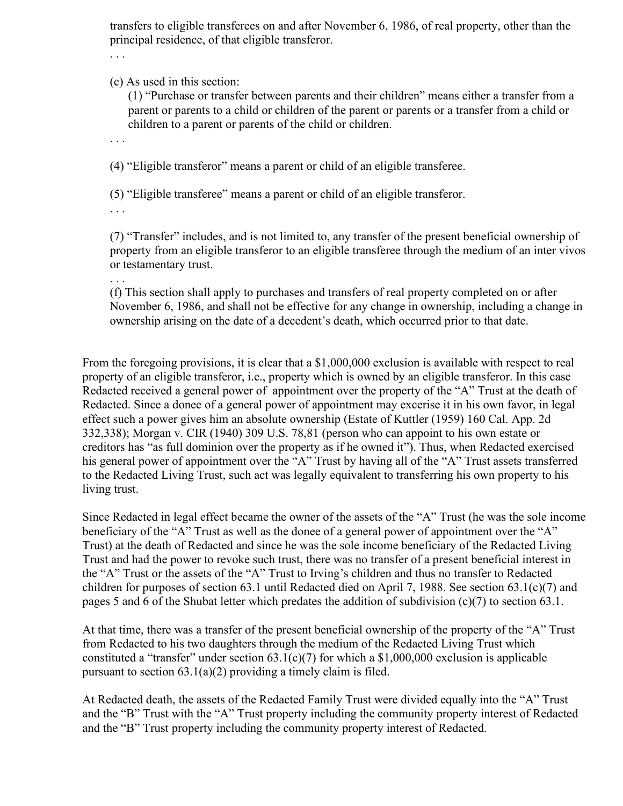transfers to eligible transferees on and after November 6, 1986, of real property, other than the principal residence, of that eligible transferor.

. . .

(c) As used in this section:

(1) "Purchase or transfer between parents and their children" means either a transfer from a parent or parents to a child or children of the parent or parents or a transfer from a child or children to a parent or parents of the child or children.

. . .

(4) "Eligible transferor" means a parent or child of an eligible transferee.

(5) "Eligible transferee" means a parent or child of an eligible transferor.

. . .

(7) "Transfer" includes, and is not limited to, any transfer of the present beneficial ownership of property from an eligible transferor to an eligible transferee through the medium of an inter vivos or testamentary trust.

. . .

(f) This section shall apply to purchases and transfers of real property completed on or after November 6, 1986, and shall not be effective for any change in ownership, including a change in ownership arising on the date of a decedent's death, which occurred prior to that date.

From the foregoing provisions, it is clear that a \$1,000,000 exclusion is available with respect to real property of an eligible transferor, i.e., property which is owned by an eligible transferor. In this case Redacted received a general power of appointment over the property of the "A" Trust at the death of Redacted. Since a donee of a general power of appointment may excerise it in his own favor, in legal effect such a power gives him an absolute ownership (Estate of Kuttler (1959) 160 Cal. App. 2d 332,338); Morgan v. CIR (1940) 309 U.S. 78,81 (person who can appoint to his own estate or creditors has "as full dominion over the property as if he owned it"). Thus, when Redacted exercised his general power of appointment over the "A" Trust by having all of the "A" Trust assets transferred to the Redacted Living Trust, such act was legally equivalent to transferring his own property to his living trust.

Since Redacted in legal effect became the owner of the assets of the "A" Trust (he was the sole income beneficiary of the "A" Trust as well as the donee of a general power of appointment over the "A" Trust) at the death of Redacted and since he was the sole income beneficiary of the Redacted Living Trust and had the power to revoke such trust, there was no transfer of a present beneficial interest in the "A" Trust or the assets of the "A" Trust to Irving's children and thus no transfer to Redacted children for purposes of section 63.1 until Redacted died on April 7, 1988. See section 63.1(c)(7) and pages 5 and 6 of the Shubat letter which predates the addition of subdivision (c)(7) to section 63.1.

At that time, there was a transfer of the present beneficial ownership of the property of the "A" Trust from Redacted to his two daughters through the medium of the Redacted Living Trust which constituted a "transfer" under section  $63.1(c)(7)$  for which a \$1,000,000 exclusion is applicable pursuant to section  $63.1(a)(2)$  providing a timely claim is filed.

At Redacted death, the assets of the Redacted Family Trust were divided equally into the "A" Trust and the "B" Trust with the "A" Trust property including the community property interest of Redacted and the "B" Trust property including the community property interest of Redacted.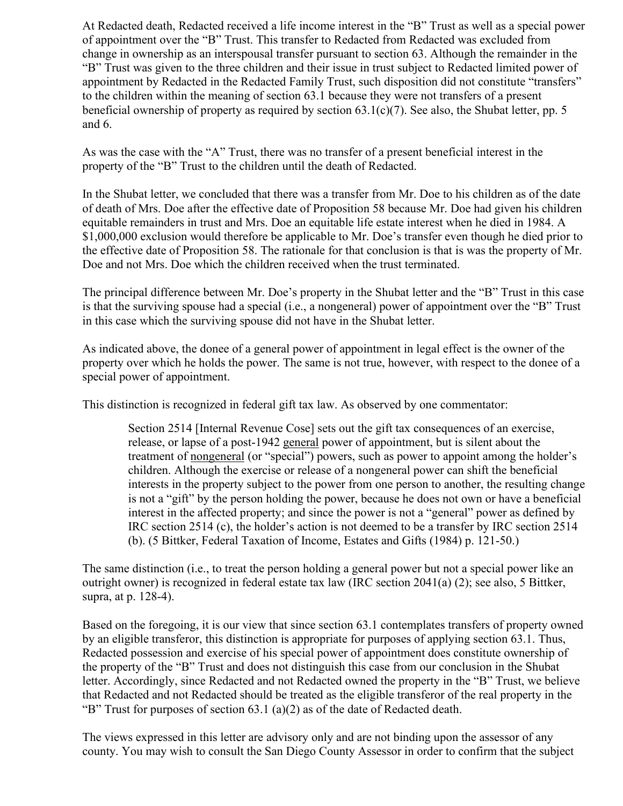At Redacted death, Redacted received a life income interest in the "B" Trust as well as a special power of appointment over the "B" Trust. This transfer to Redacted from Redacted was excluded from change in ownership as an interspousal transfer pursuant to section 63. Although the remainder in the "B" Trust was given to the three children and their issue in trust subject to Redacted limited power of appointment by Redacted in the Redacted Family Trust, such disposition did not constitute "transfers" to the children within the meaning of section 63.1 because they were not transfers of a present beneficial ownership of property as required by section  $63.1(c)(7)$ . See also, the Shubat letter, pp. 5 and 6.

As was the case with the "A" Trust, there was no transfer of a present beneficial interest in the property of the "B" Trust to the children until the death of Redacted.

In the Shubat letter, we concluded that there was a transfer from Mr. Doe to his children as of the date of death of Mrs. Doe after the effective date of Proposition 58 because Mr. Doe had given his children equitable remainders in trust and Mrs. Doe an equitable life estate interest when he died in 1984. A \$1,000,000 exclusion would therefore be applicable to Mr. Doe's transfer even though he died prior to the effective date of Proposition 58. The rationale for that conclusion is that is was the property of Mr. Doe and not Mrs. Doe which the children received when the trust terminated.

The principal difference between Mr. Doe's property in the Shubat letter and the "B" Trust in this case is that the surviving spouse had a special (i.e., a nongeneral) power of appointment over the "B" Trust in this case which the surviving spouse did not have in the Shubat letter.

As indicated above, the donee of a general power of appointment in legal effect is the owner of the property over which he holds the power. The same is not true, however, with respect to the donee of a special power of appointment.

This distinction is recognized in federal gift tax law. As observed by one commentator:

Section 2514 [Internal Revenue Cose] sets out the gift tax consequences of an exercise, release, or lapse of a post-1942 general power of appointment, but is silent about the treatment of nongeneral (or "special") powers, such as power to appoint among the holder's children. Although the exercise or release of a nongeneral power can shift the beneficial interests in the property subject to the power from one person to another, the resulting change is not a "gift" by the person holding the power, because he does not own or have a beneficial interest in the affected property; and since the power is not a "general" power as defined by IRC section 2514 (c), the holder's action is not deemed to be a transfer by IRC section 2514 (b). (5 Bittker, Federal Taxation of Income, Estates and Gifts (1984) p. 121-50.)

The same distinction (i.e., to treat the person holding a general power but not a special power like an outright owner) is recognized in federal estate tax law (IRC section 2041(a) (2); see also, 5 Bittker, supra, at p. 128-4).

Based on the foregoing, it is our view that since section 63.1 contemplates transfers of property owned by an eligible transferor, this distinction is appropriate for purposes of applying section 63.1. Thus, Redacted possession and exercise of his special power of appointment does constitute ownership of the property of the "B" Trust and does not distinguish this case from our conclusion in the Shubat letter. Accordingly, since Redacted and not Redacted owned the property in the "B" Trust, we believe that Redacted and not Redacted should be treated as the eligible transferor of the real property in the "B" Trust for purposes of section 63.1 (a)(2) as of the date of Redacted death.

The views expressed in this letter are advisory only and are not binding upon the assessor of any county. You may wish to consult the San Diego County Assessor in order to confirm that the subject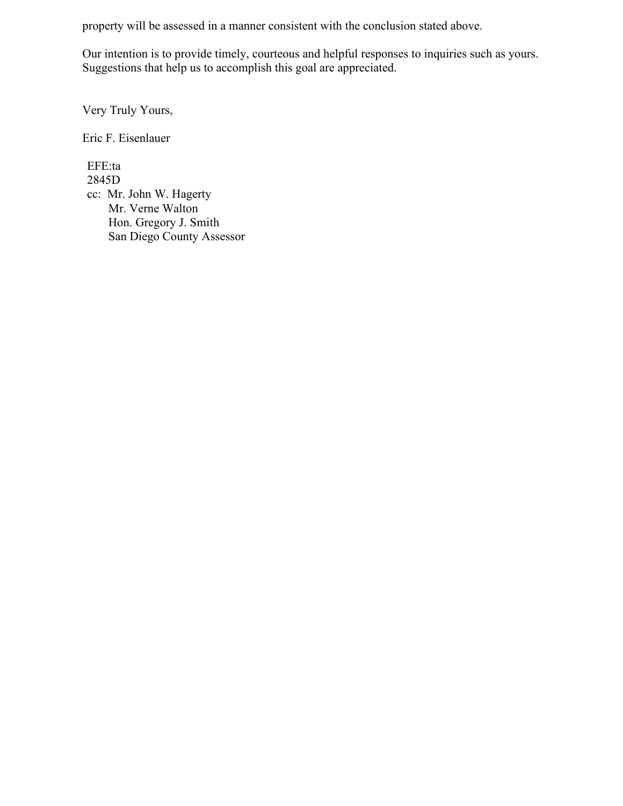property will be assessed in a manner consistent with the conclusion stated above.

Our intention is to provide timely, courteous and helpful responses to inquiries such as yours. Suggestions that help us to accomplish this goal are appreciated.

Very Truly Yours,

Eric F. Eisenlauer

EFE:ta 2845D cc: Mr. John W. Hagerty Mr. Verne Walton Hon. Gregory J. Smith San Diego County Assessor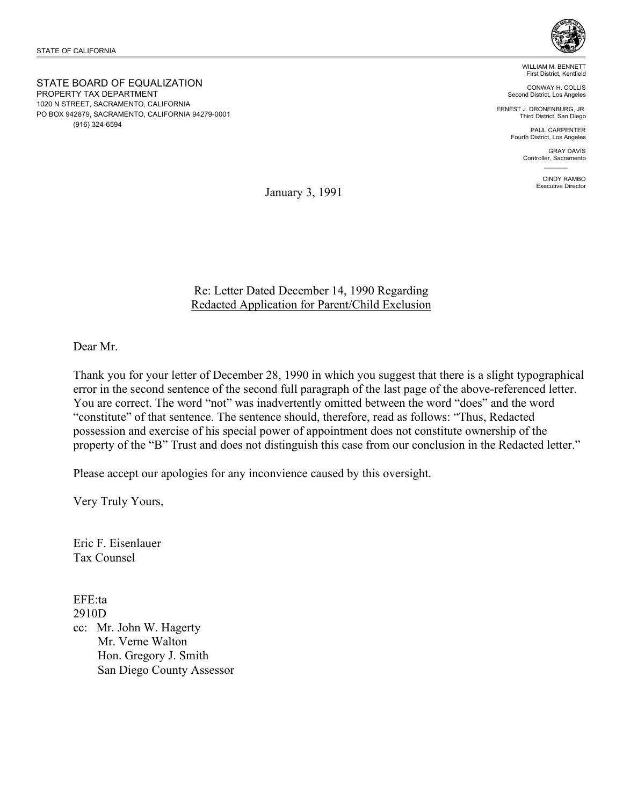STATE BOARD OF EQUALIZATION PROPERTY TAX DEPARTMENT 1020 N STREET, SACRAMENTO, CALIFORNIA PO BOX 942879, SACRAMENTO, CALIFORNIA 94279-0001 (916) 324-6594



WILLIAM M. BENNETT First District, Kentfield

CONWAY H. COLLIS Second District, Los Angeles

ERNEST J. DRONENBURG, JR. Third District, San Diego

> PAUL CARPENTER Fourth District, Los Angeles

> > GRAY DAVIS Controller, Sacramento  $\mathcal{L}=\mathcal{L}$

> > > CINDY RAMBO Executive Director

January 3, 1991

## Re: Letter Dated December 14, 1990 Regarding Redacted Application for Parent/Child Exclusion

Dear Mr.

Thank you for your letter of December 28, 1990 in which you suggest that there is a slight typographical error in the second sentence of the second full paragraph of the last page of the above-referenced letter. You are correct. The word "not" was inadvertently omitted between the word "does" and the word "constitute" of that sentence. The sentence should, therefore, read as follows: "Thus, Redacted possession and exercise of his special power of appointment does not constitute ownership of the property of the "B" Trust and does not distinguish this case from our conclusion in the Redacted letter."

Please accept our apologies for any inconvience caused by this oversight.

Very Truly Yours,

Eric F. Eisenlauer Tax Counsel

EFE:ta 2910D

cc: Mr. John W. Hagerty Mr. Verne Walton Hon. Gregory J. Smith San Diego County Assessor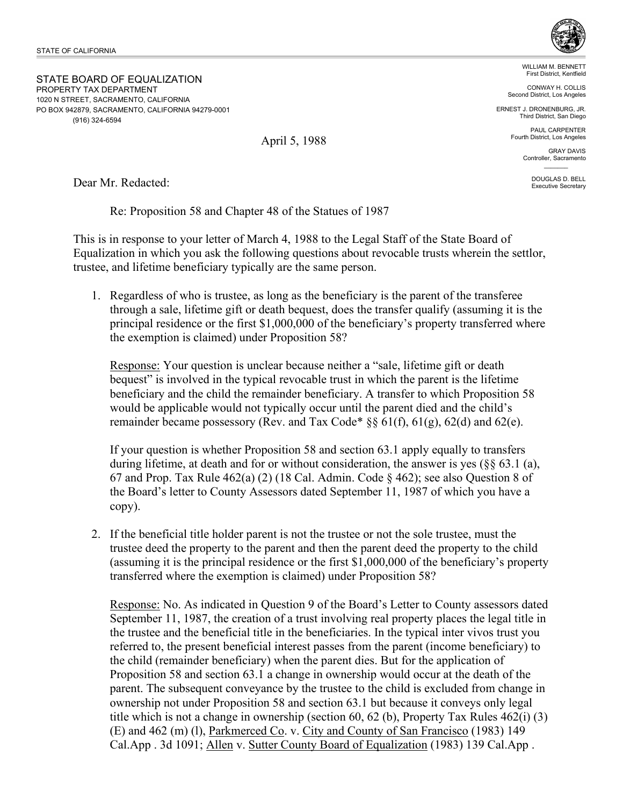STATE BOARD OF EQUALIZATION PROPERTY TAX DEPARTMENT 1020 N STREET, SACRAMENTO, CALIFORNIA PO BOX 942879, SACRAMENTO, CALIFORNIA 94279-0001 (916) 324-6594

WILLIAM M. BENNETT First District, Kentfield

CONWAY H. COLLIS Second District, Los Angeles

ERNEST J. DRONENBURG, JR. Third District, San Diego

> PAUL CARPENTER Fourth District, Los Angeles

> > GRAY DAVIS Controller, Sacramento  $\mathcal{L}=\mathcal{L}$

> > > DOUGLAS D. BELL Executive Secretary

Dear Mr. Redacted:

Re: Proposition 58 and Chapter 48 of the Statues of 1987

This is in response to your letter of March 4, 1988 to the Legal Staff of the State Board of Equalization in which you ask the following questions about revocable trusts wherein the settlor, trustee, and lifetime beneficiary typically are the same person.

1. Regardless of who is trustee, as long as the beneficiary is the parent of the transferee through a sale, lifetime gift or death bequest, does the transfer qualify (assuming it is the principal residence or the first \$1,000,000 of the beneficiary's property transferred where the exemption is claimed) under Proposition 58?

Response: Your question is unclear because neither a "sale, lifetime gift or death bequest" is involved in the typical revocable trust in which the parent is the lifetime beneficiary and the child the remainder beneficiary. A transfer to which Proposition 58 would be applicable would not typically occur until the parent died and the child's remainder became possessory (Rev. and Tax Code\*  $\S 61(f)$ ,  $61(g)$ ,  $62(d)$  and  $62(e)$ .

If your question is whether Proposition 58 and section 63.1 apply equally to transfers during lifetime, at death and for or without consideration, the answer is yes (§§ 63.1 (a), 67 and Prop. Tax Rule 462(a) (2) (18 Cal. Admin. Code § 462); see also Question 8 of the Board's letter to County Assessors dated September 11, 1987 of which you have a copy).

2. If the beneficial title holder parent is not the trustee or not the sole trustee, must the trustee deed the property to the parent and then the parent deed the property to the child (assuming it is the principal residence or the first \$1,000,000 of the beneficiary's property transferred where the exemption is claimed) under Proposition 58?

Response: No. As indicated in Question 9 of the Board's Letter to County assessors dated September 11, 1987, the creation of a trust involving real property places the legal title in the trustee and the beneficial title in the beneficiaries. In the typical inter vivos trust you referred to, the present beneficial interest passes from the parent (income beneficiary) to the child (remainder beneficiary) when the parent dies. But for the application of Proposition 58 and section 63.1 a change in ownership would occur at the death of the parent. The subsequent conveyance by the trustee to the child is excluded from change in ownership not under Proposition 58 and section 63.1 but because it conveys only legal title which is not a change in ownership (section 60, 62 (b), Property Tax Rules 462(i) (3) (E) and 462 (m) (l), Parkmerced Co. v. City and County of San Francisco (1983) 149 Cal.App . 3d 1091; Allen v. Sutter County Board of Equalization (1983) 139 Cal.App .

April 5, 1988